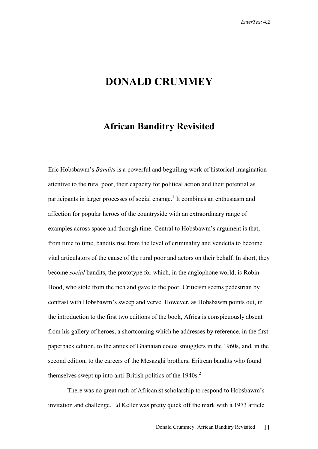## **DONALD CRUMMEY**

## **African Banditry Revisited**

Eric Hobsbawm's *Bandits* is a powerful and beguiling work of historical imagination attentive to the rural poor, their capacity for political action and their potential as participants in larger processes of social change.<sup>1</sup> It combines an enthusiasm and affection for popular heroes of the countryside with an extraordinary range of examples across space and through time. Central to Hobsbawm's argument is that, from time to time, bandits rise from the level of criminality and vendetta to become vital articulators of the cause of the rural poor and actors on their behalf. In short, they become *social* bandits, the prototype for which, in the anglophone world, is Robin Hood, who stole from the rich and gave to the poor. Criticism seems pedestrian by contrast with Hobsbawm's sweep and verve. However, as Hobsbawm points out, in the introduction to the first two editions of the book, Africa is conspicuously absent from his gallery of heroes, a shortcoming which he addresses by reference, in the first paperback edition, to the antics of Ghanaian cocoa smugglers in the 1960s, and, in the second edition, to the careers of the Mesazghi brothers, Eritrean bandits who found themselves swept up into anti-British politics of the  $1940s<sup>2</sup>$ .

There was no great rush of Africanist scholarship to respond to Hobsbawm's invitation and challenge. Ed Keller was pretty quick off the mark with a 1973 article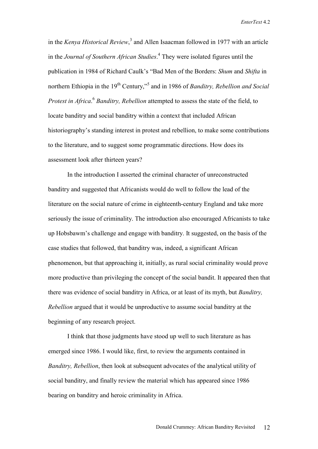in the *Kenya Historical Review*, 3 and Allen Isaacman followed in 1977 with an article in the *Journal of Southern African Studies*. 4 They were isolated figures until the publication in 1984 of Richard Caulk's "Bad Men of the Borders: *Shum* and *Shifta* in northern Ethiopia in the 19<sup>th</sup> Century,"<sup>5</sup> and in 1986 of *Banditry, Rebellion and Social Protest in Africa*. <sup>6</sup> *Banditry, Rebellion* attempted to assess the state of the field, to locate banditry and social banditry within a context that included African historiography's standing interest in protest and rebellion, to make some contributions to the literature, and to suggest some programmatic directions. How does its assessment look after thirteen years?

In the introduction I asserted the criminal character of unreconstructed banditry and suggested that Africanists would do well to follow the lead of the literature on the social nature of crime in eighteenth-century England and take more seriously the issue of criminality. The introduction also encouraged Africanists to take up Hobsbawm's challenge and engage with banditry. It suggested, on the basis of the case studies that followed, that banditry was, indeed, a significant African phenomenon, but that approaching it, initially, as rural social criminality would prove more productive than privileging the concept of the social bandit. It appeared then that there was evidence of social banditry in Africa, or at least of its myth, but *Banditry, Rebellion* argued that it would be unproductive to assume social banditry at the beginning of any research project.

I think that those judgments have stood up well to such literature as has emerged since 1986. I would like, first, to review the arguments contained in *Banditry, Rebellion*, then look at subsequent advocates of the analytical utility of social banditry, and finally review the material which has appeared since 1986 bearing on banditry and heroic criminality in Africa.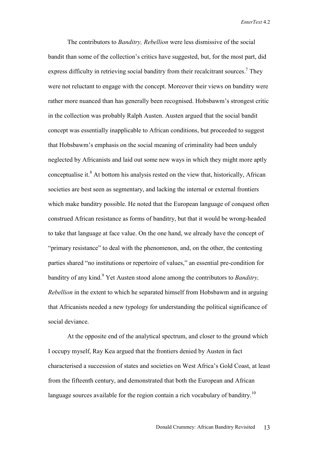The contributors to *Banditry, Rebellion* were less dismissive of the social bandit than some of the collection's critics have suggested, but, for the most part, did express difficulty in retrieving social banditry from their recalcitrant sources.<sup>7</sup> They were not reluctant to engage with the concept. Moreover their views on banditry were rather more nuanced than has generally been recognised. Hobsbawm's strongest critic in the collection was probably Ralph Austen. Austen argued that the social bandit concept was essentially inapplicable to African conditions, but proceeded to suggest that Hobsbawm's emphasis on the social meaning of criminality had been unduly neglected by Africanists and laid out some new ways in which they might more aptly conceptualise it. $<sup>8</sup>$  At bottom his analysis rested on the view that, historically, African</sup> societies are best seen as segmentary, and lacking the internal or external frontiers which make banditry possible. He noted that the European language of conquest often construed African resistance as forms of banditry, but that it would be wrong-headed to take that language at face value. On the one hand, we already have the concept of "primary resistance" to deal with the phenomenon, and, on the other, the contesting parties shared "no institutions or repertoire of values," an essential pre-condition for banditry of any kind.<sup>9</sup> Yet Austen stood alone among the contributors to *Banditry*, *Rebellion* in the extent to which he separated himself from Hobsbawm and in arguing that Africanists needed a new typology for understanding the political significance of social deviance.

At the opposite end of the analytical spectrum, and closer to the ground which I occupy myself, Ray Kea argued that the frontiers denied by Austen in fact characterised a succession of states and societies on West Africa's Gold Coast, at least from the fifteenth century, and demonstrated that both the European and African language sources available for the region contain a rich vocabulary of banditry.<sup>10</sup>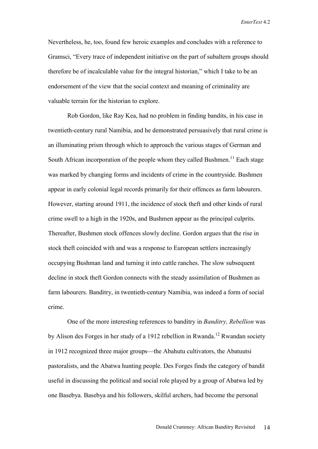Nevertheless, he, too, found few heroic examples and concludes with a reference to Gramsci, "Every trace of independent initiative on the part of subaltern groups should therefore be of incalculable value for the integral historian," which I take to be an endorsement of the view that the social context and meaning of criminality are valuable terrain for the historian to explore.

Rob Gordon, like Ray Kea, had no problem in finding bandits, in his case in twentieth-century rural Namibia, and he demonstrated persuasively that rural crime is an illuminating prism through which to approach the various stages of German and South African incorporation of the people whom they called Bushmen.<sup>11</sup> Each stage was marked by changing forms and incidents of crime in the countryside. Bushmen appear in early colonial legal records primarily for their offences as farm labourers. However, starting around 1911, the incidence of stock theft and other kinds of rural crime swell to a high in the 1920s, and Bushmen appear as the principal culprits. Thereafter, Bushmen stock offences slowly decline. Gordon argues that the rise in stock theft coincided with and was a response to European settlers increasingly occupying Bushman land and turning it into cattle ranches. The slow subsequent decline in stock theft Gordon connects with the steady assimilation of Bushmen as farm labourers. Banditry, in twentieth-century Namibia, was indeed a form of social crime.

One of the more interesting references to banditry in *Banditry, Rebellion* was by Alison des Forges in her study of a 1912 rebellion in Rwanda.<sup>12</sup> Rwandan society in 1912 recognized three major groups—the Abahutu cultivators, the Abatuutsi pastoralists, and the Abatwa hunting people. Des Forges finds the category of bandit useful in discussing the political and social role played by a group of Abatwa led by one Basebya. Basebya and his followers, skilful archers, had become the personal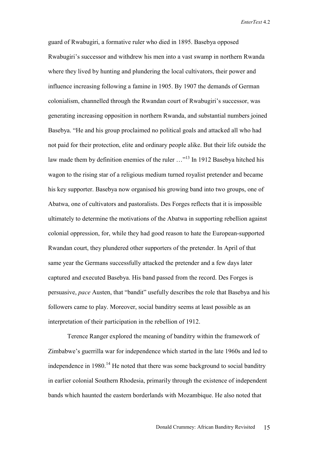guard of Rwabugiri, a formative ruler who died in 1895. Basebya opposed Rwabugiri's successor and withdrew his men into a vast swamp in northern Rwanda where they lived by hunting and plundering the local cultivators, their power and influence increasing following a famine in 1905. By 1907 the demands of German colonialism, channelled through the Rwandan court of Rwabugiri's successor, was generating increasing opposition in northern Rwanda, and substantial numbers joined Basebya. "He and his group proclaimed no political goals and attacked all who had not paid for their protection, elite and ordinary people alike. But their life outside the law made them by definition enemies of the ruler ..."<sup>13</sup> In 1912 Basebya hitched his wagon to the rising star of a religious medium turned royalist pretender and became his key supporter. Basebya now organised his growing band into two groups, one of Abatwa, one of cultivators and pastoralists. Des Forges reflects that it is impossible ultimately to determine the motivations of the Abatwa in supporting rebellion against colonial oppression, for, while they had good reason to hate the European-supported Rwandan court, they plundered other supporters of the pretender. In April of that same year the Germans successfully attacked the pretender and a few days later captured and executed Basebya. His band passed from the record. Des Forges is persuasive, *pace* Austen, that "bandit" usefully describes the role that Basebya and his followers came to play. Moreover, social banditry seems at least possible as an interpretation of their participation in the rebellion of 1912.

Terence Ranger explored the meaning of banditry within the framework of Zimbabwe's guerrilla war for independence which started in the late 1960s and led to independence in  $1980$ <sup> $14$ </sup> He noted that there was some background to social banditry in earlier colonial Southern Rhodesia, primarily through the existence of independent bands which haunted the eastern borderlands with Mozambique. He also noted that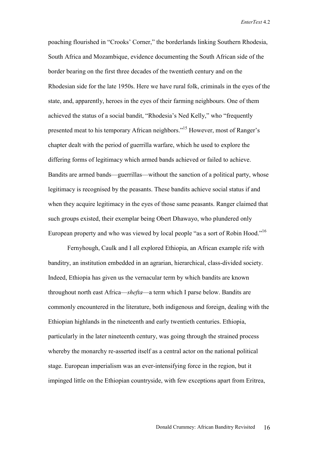poaching flourished in "Crooks' Corner," the borderlands linking Southern Rhodesia, South Africa and Mozambique, evidence documenting the South African side of the border bearing on the first three decades of the twentieth century and on the Rhodesian side for the late 1950s. Here we have rural folk, criminals in the eyes of the state, and, apparently, heroes in the eyes of their farming neighbours. One of them achieved the status of a social bandit, "Rhodesia's Ned Kelly," who "frequently presented meat to his temporary African neighbors."15 However, most of Ranger's chapter dealt with the period of guerrilla warfare, which he used to explore the differing forms of legitimacy which armed bands achieved or failed to achieve. Bandits are armed bands—guerrillas—without the sanction of a political party, whose legitimacy is recognised by the peasants. These bandits achieve social status if and when they acquire legitimacy in the eyes of those same peasants. Ranger claimed that such groups existed, their exemplar being Obert Dhawayo, who plundered only European property and who was viewed by local people "as a sort of Robin Hood."<sup>16</sup>

Fernyhough, Caulk and I all explored Ethiopia, an African example rife with banditry, an institution embedded in an agrarian, hierarchical, class-divided society. Indeed, Ethiopia has given us the vernacular term by which bandits are known throughout north east Africa—*shefta*—a term which I parse below. Bandits are commonly encountered in the literature, both indigenous and foreign, dealing with the Ethiopian highlands in the nineteenth and early twentieth centuries. Ethiopia, particularly in the later nineteenth century, was going through the strained process whereby the monarchy re-asserted itself as a central actor on the national political stage. European imperialism was an ever-intensifying force in the region, but it impinged little on the Ethiopian countryside, with few exceptions apart from Eritrea,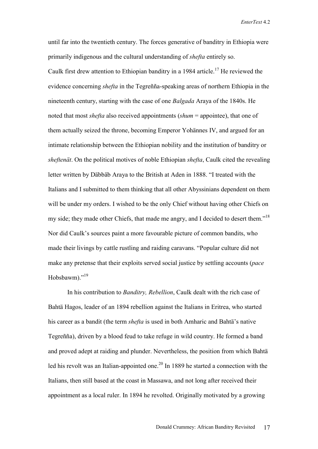until far into the twentieth century. The forces generative of banditry in Ethiopia were primarily indigenous and the cultural understanding of *shefta* entirely so. Caulk first drew attention to Ethiopian banditry in a 1984 article.<sup>17</sup> He reviewed the evidence concerning *shefta* in the Tegreñña-speaking areas of northern Ethiopia in the nineteenth century, starting with the case of one *Balgada* Araya of the 1840s. He noted that most *shefta* also received appointments (*shum* = appointee), that one of them actually seized the throne, becoming Emperor Yohännes IV, and argued for an intimate relationship between the Ethiopian nobility and the institution of banditry or *sheftenät*. On the political motives of noble Ethiopian *shefta*, Caulk cited the revealing letter written by Däbbäb Araya to the British at Aden in 1888. "I treated with the Italians and I submitted to them thinking that all other Abyssinians dependent on them will be under my orders. I wished to be the only Chief without having other Chiefs on my side; they made other Chiefs, that made me angry, and I decided to desert them."<sup>18</sup> Nor did Caulk's sources paint a more favourable picture of common bandits, who made their livings by cattle rustling and raiding caravans. "Popular culture did not make any pretense that their exploits served social justice by settling accounts (*pace* Hobsbawm)."<sup>19</sup>

In his contribution to *Banditry, Rebellion*, Caulk dealt with the rich case of Bahtä Hagos, leader of an 1894 rebellion against the Italians in Eritrea, who started his career as a bandit (the term *shefta* is used in both Amharic and Bahtä's native Tegreñña), driven by a blood feud to take refuge in wild country. He formed a band and proved adept at raiding and plunder. Nevertheless, the position from which Bahtä led his revolt was an Italian-appointed one.<sup>20</sup> In 1889 he started a connection with the Italians, then still based at the coast in Massawa, and not long after received their appointment as a local ruler. In 1894 he revolted. Originally motivated by a growing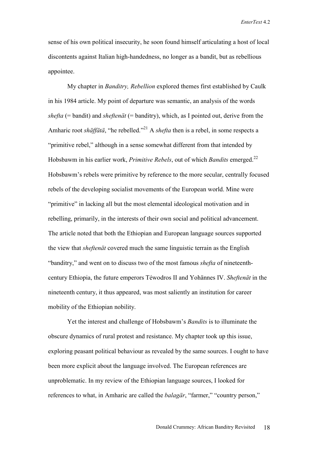sense of his own political insecurity, he soon found himself articulating a host of local discontents against Italian high-handedness, no longer as a bandit, but as rebellious appointee.

My chapter in *Banditry, Rebellion* explored themes first established by Caulk in his 1984 article. My point of departure was semantic, an analysis of the words *shefta* (= bandit) and *sheftenät* (= banditry), which, as I pointed out, derive from the Amharic root *shäffätä*, "he rebelled."<sup>21</sup> A *shefta* then is a rebel, in some respects a "primitive rebel," although in a sense somewhat different from that intended by Hobsbawm in his earlier work, *Primitive Rebels*, out of which *Bandits* emerged.22 Hobsbawm's rebels were primitive by reference to the more secular, centrally focused rebels of the developing socialist movements of the European world. Mine were "primitive" in lacking all but the most elemental ideological motivation and in rebelling, primarily, in the interests of their own social and political advancement. The article noted that both the Ethiopian and European language sources supported the view that *sheftenät* covered much the same linguistic terrain as the English "banditry," and went on to discuss two of the most famous *shefta* of nineteenthcentury Ethiopia, the future emperors Téwodros II and Yohännes IV. *Sheftenät* in the nineteenth century, it thus appeared, was most saliently an institution for career mobility of the Ethiopian nobility.

Yet the interest and challenge of Hobsbawm's *Bandits* is to illuminate the obscure dynamics of rural protest and resistance. My chapter took up this issue, exploring peasant political behaviour as revealed by the same sources. I ought to have been more explicit about the language involved. The European references are unproblematic. In my review of the Ethiopian language sources, I looked for references to what, in Amharic are called the *balagär*, "farmer," "country person,"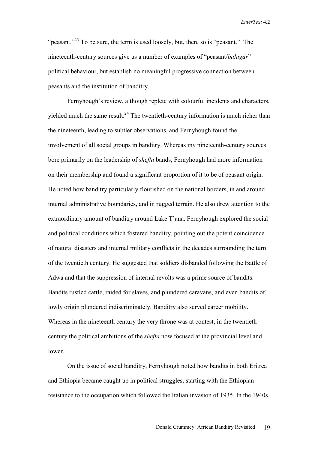"peasant."<sup>23</sup> To be sure, the term is used loosely, but, then, so is "peasant." The nineteenth-century sources give us a number of examples of "peasant/*balagär*" political behaviour, but establish no meaningful progressive connection between peasants and the institution of banditry.

Fernyhough's review, although replete with colourful incidents and characters, yielded much the same result.<sup>24</sup> The twentieth-century information is much richer than the nineteenth, leading to subtler observations, and Fernyhough found the involvement of all social groups in banditry. Whereas my nineteenth-century sources bore primarily on the leadership of *shefta* bands, Fernyhough had more information on their membership and found a significant proportion of it to be of peasant origin. He noted how banditry particularly flourished on the national borders, in and around internal administrative boundaries, and in rugged terrain. He also drew attention to the extraordinary amount of banditry around Lake T'ana. Fernyhough explored the social and political conditions which fostered banditry, pointing out the potent coincidence of natural disasters and internal military conflicts in the decades surrounding the turn of the twentieth century. He suggested that soldiers disbanded following the Battle of Adwa and that the suppression of internal revolts was a prime source of bandits. Bandits rustled cattle, raided for slaves, and plundered caravans, and even bandits of lowly origin plundered indiscriminately. Banditry also served career mobility. Whereas in the nineteenth century the very throne was at contest, in the twentieth century the political ambitions of the *shefta* now focused at the provincial level and lower.

On the issue of social banditry, Fernyhough noted how bandits in both Eritrea and Ethiopia became caught up in political struggles, starting with the Ethiopian resistance to the occupation which followed the Italian invasion of 1935. In the 1940s,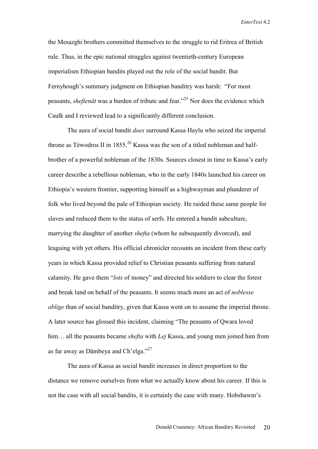the Mesazghi brothers committed themselves to the struggle to rid Eritrea of British rule. Thus, in the epic national struggles against twentieth-century European imperialism Ethiopian bandits played out the role of the social bandit. But Fernyhough's summary judgment on Ethiopian banditry was harsh: "For most peasants, *sheftenät* was a burden of tribute and fear."25 Nor does the evidence which Caulk and I reviewed lead to a significantly different conclusion.

The aura of social bandit *does* surround Kassa Haylu who seized the imperial throne as Téwodros II in 1855.<sup>26</sup> Kassa was the son of a titled nobleman and halfbrother of a powerful nobleman of the 1830s. Sources closest in time to Kassa's early career describe a rebellious nobleman, who in the early 1840s launched his career on Ethiopia's western frontier, supporting himself as a highwayman and plunderer of folk who lived beyond the pale of Ethiopian society. He raided these same people for slaves and reduced them to the status of serfs. He entered a bandit subculture, marrying the daughter of another *shefta* (whom he subsequently divorced), and leaguing with yet others. His official chronicler recounts an incident from these early years in which Kassa provided relief to Christian peasants suffering from natural calamity. He gave them "*lots* of money" and directed his soldiers to clear the forest and break land on behalf of the peasants. It seems much more an act of *noblesse oblige* than of social banditry, given that Kassa went on to assume the imperial throne. A later source has glossed this incident, claiming "The peasants of Qwara loved him… all the peasants became *shefta* with *Lej* Kassa, and young men joined him from as far away as Dämbeya and Ch'elga."<sup>27</sup>

The aura of Kassa as social bandit increases in direct proportion to the distance we remove ourselves from what we actually know about his career. If this is not the case with all social bandits, it is certainly the case with many. Hobsbawm's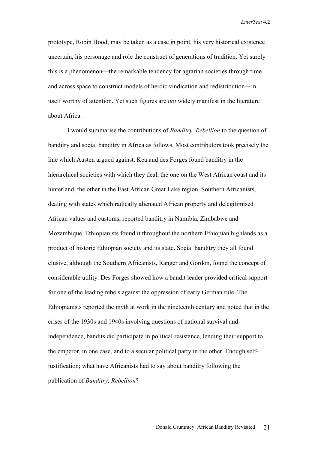prototype, Robin Hood, may be taken as a case in point, his very historical existence uncertain, his personage and role the construct of generations of tradition. Yet surely this is a phenomenon—the remarkable tendency for agrarian societies through time and across space to construct models of heroic vindication and redistribution—in itself worthy of attention. Yet such figures are *not* widely manifest in the literature about Africa.

I would summarise the contributions of *Banditry, Rebellion* to the question of banditry and social banditry in Africa as follows. Most contributors took precisely the line which Austen argued against. Kea and des Forges found banditry in the hierarchical societies with which they deal, the one on the West African coast and its hinterland, the other in the East African Great Lake region. Southern Africanists, dealing with states which radically alienated African property and delegitimised African values and customs, reported banditry in Namibia, Zimbabwe and Mozambique. Ethiopianists found it throughout the northern Ethiopian highlands as a product of historic Ethiopian society and its state. Social banditry they all found elusive, although the Southern Africanists, Ranger and Gordon, found the concept of considerable utility. Des Forges showed how a bandit leader provided critical support for one of the leading rebels against the oppression of early German rule. The Ethiopianists reported the myth at work in the nineteenth century and noted that in the crises of the 1930s and 1940s involving questions of national survival and independence, bandits did participate in political resistance, lending their support to the emperor, in one case, and to a secular political party in the other. Enough selfjustification; what have Africanists had to say about banditry following the publication of *Banditry, Rebellion*?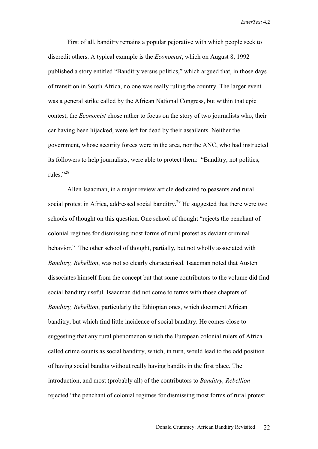First of all, banditry remains a popular pejorative with which people seek to discredit others. A typical example is the *Economist*, which on August 8, 1992 published a story entitled "Banditry versus politics," which argued that, in those days of transition in South Africa, no one was really ruling the country. The larger event was a general strike called by the African National Congress, but within that epic contest, the *Economist* chose rather to focus on the story of two journalists who, their car having been hijacked, were left for dead by their assailants. Neither the government, whose security forces were in the area, nor the ANC, who had instructed its followers to help journalists, were able to protect them: "Banditry, not politics, rules."<sup>28</sup>

Allen Isaacman, in a major review article dedicated to peasants and rural social protest in Africa, addressed social banditry.<sup>29</sup> He suggested that there were two schools of thought on this question. One school of thought "rejects the penchant of colonial regimes for dismissing most forms of rural protest as deviant criminal behavior." The other school of thought, partially, but not wholly associated with *Banditry, Rebellion*, was not so clearly characterised. Isaacman noted that Austen dissociates himself from the concept but that some contributors to the volume did find social banditry useful. Isaacman did not come to terms with those chapters of *Banditry, Rebellion*, particularly the Ethiopian ones, which document African banditry, but which find little incidence of social banditry. He comes close to suggesting that any rural phenomenon which the European colonial rulers of Africa called crime counts as social banditry, which, in turn, would lead to the odd position of having social bandits without really having bandits in the first place. The introduction, and most (probably all) of the contributors to *Banditry, Rebellion* rejected "the penchant of colonial regimes for dismissing most forms of rural protest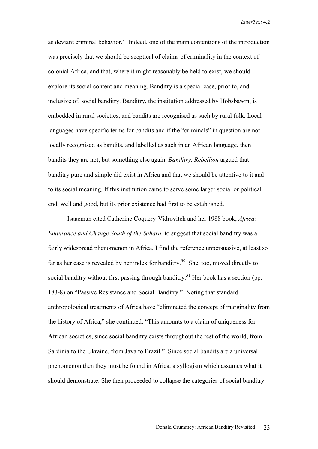as deviant criminal behavior." Indeed, one of the main contentions of the introduction was precisely that we should be sceptical of claims of criminality in the context of colonial Africa, and that, where it might reasonably be held to exist, we should explore its social content and meaning. Banditry is a special case, prior to, and inclusive of, social banditry. Banditry, the institution addressed by Hobsbawm, is embedded in rural societies, and bandits are recognised as such by rural folk. Local languages have specific terms for bandits and if the "criminals" in question are not locally recognised as bandits, and labelled as such in an African language, then bandits they are not, but something else again. *Banditry, Rebellion* argued that banditry pure and simple did exist in Africa and that we should be attentive to it and to its social meaning. If this institution came to serve some larger social or political end, well and good, but its prior existence had first to be established.

Isaacman cited Catherine Coquery-Vidrovitch and her 1988 book, *Africa: Endurance and Change South of the Sahara,* to suggest that social banditry was a fairly widespread phenomenon in Africa. I find the reference unpersuasive, at least so far as her case is revealed by her index for banditry.<sup>30</sup> She, too, moved directly to social banditry without first passing through banditry.<sup>31</sup> Her book has a section (pp. 183-8) on "Passive Resistance and Social Banditry." Noting that standard anthropological treatments of Africa have "eliminated the concept of marginality from the history of Africa," she continued, "This amounts to a claim of uniqueness for African societies, since social banditry exists throughout the rest of the world, from Sardinia to the Ukraine, from Java to Brazil." Since social bandits are a universal phenomenon then they must be found in Africa, a syllogism which assumes what it should demonstrate. She then proceeded to collapse the categories of social banditry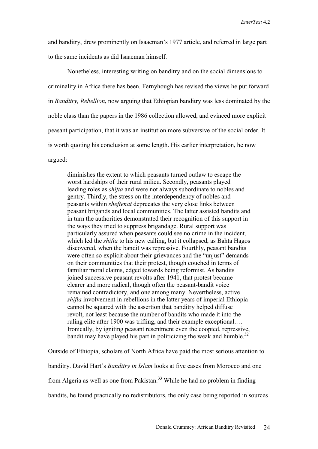and banditry, drew prominently on Isaacman's 1977 article, and referred in large part to the same incidents as did Isaacman himself.

Nonetheless, interesting writing on banditry and on the social dimensions to criminality in Africa there has been. Fernyhough has revised the views he put forward in *Banditry, Rebellion*, now arguing that Ethiopian banditry was less dominated by the noble class than the papers in the 1986 collection allowed, and evinced more explicit peasant participation, that it was an institution more subversive of the social order. It is worth quoting his conclusion at some length. His earlier interpretation, he now argued:

diminishes the extent to which peasants turned outlaw to escape the worst hardships of their rural milieu. Secondly, peasants played leading roles as *shifta* and were not always subordinate to nobles and gentry. Thirdly, the stress on the interdependency of nobles and peasants within *sheftenat* deprecates the very close links between peasant brigands and local communities. The latter assisted bandits and in turn the authorities demonstrated their recognition of this support in the ways they tried to suppress brigandage. Rural support was particularly assured when peasants could see no crime in the incident, which led the *shifta* to his new calling, but it collapsed, as Bahta Hagos discovered, when the bandit was repressive. Fourthly, peasant bandits were often so explicit about their grievances and the "unjust" demands on their communities that their protest, though couched in terms of familiar moral claims, edged towards being reformist. As bandits joined successive peasant revolts after 1941, that protest became clearer and more radical, though often the peasant-bandit voice remained contradictory, and one among many. Nevertheless, active *shifta* involvement in rebellions in the latter years of imperial Ethiopia cannot be squared with the assertion that banditry helped diffuse revolt, not least because the number of bandits who made it into the ruling elite after 1900 was trifling, and their example exceptional.… Ironically, by igniting peasant resentment even the coopted, repressive, bandit may have played his part in politicizing the weak and humble.<sup>32</sup>

Outside of Ethiopia, scholars of North Africa have paid the most serious attention to banditry. David Hart's *Banditry in Islam* looks at five cases from Morocco and one from Algeria as well as one from Pakistan.<sup>33</sup> While he had no problem in finding bandits, he found practically no redistributors, the only case being reported in sources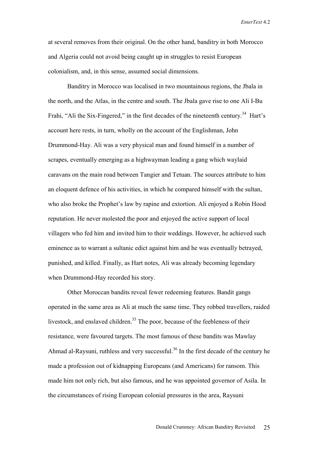at several removes from their original. On the other hand, banditry in both Morocco and Algeria could not avoid being caught up in struggles to resist European colonialism, and, in this sense, assumed social dimensions.

Banditry in Morocco was localised in two mountainous regions, the Jbala in the north, and the Atlas, in the centre and south. The Jbala gave rise to one Ali I-Bu Frahi, "Ali the Six-Fingered," in the first decades of the nineteenth century.<sup>34</sup> Hart's account here rests, in turn, wholly on the account of the Englishman, John Drummond-Hay. Ali was a very physical man and found himself in a number of scrapes, eventually emerging as a highwayman leading a gang which waylaid caravans on the main road between Tangier and Tetuan. The sources attribute to him an eloquent defence of his activities, in which he compared himself with the sultan, who also broke the Prophet's law by rapine and extortion. Ali enjoyed a Robin Hood reputation. He never molested the poor and enjoyed the active support of local villagers who fed him and invited him to their weddings. However, he achieved such eminence as to warrant a sultanic edict against him and he was eventually betrayed, punished, and killed. Finally, as Hart notes, Ali was already becoming legendary when Drummond-Hay recorded his story.

Other Moroccan bandits reveal fewer redeeming features. Bandit gangs operated in the same area as Ali at much the same time. They robbed travellers, raided livestock, and enslaved children.<sup>35</sup> The poor, because of the feebleness of their resistance, were favoured targets. The most famous of these bandits was Mawlay Ahmad al-Raysuni, ruthless and very successful.<sup>36</sup> In the first decade of the century he made a profession out of kidnapping Europeans (and Americans) for ransom. This made him not only rich, but also famous, and he was appointed governor of Asila. In the circumstances of rising European colonial pressures in the area, Raysuni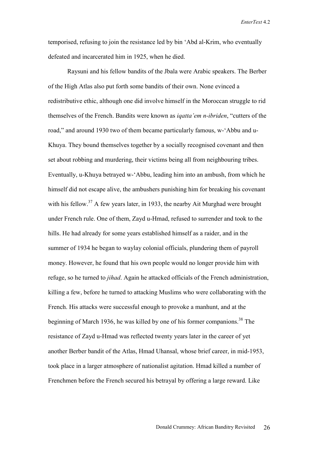temporised, refusing to join the resistance led by bin 'Abd al-Krim, who eventually defeated and incarcerated him in 1925, when he died.

Raysuni and his fellow bandits of the Jbala were Arabic speakers. The Berber of the High Atlas also put forth some bandits of their own. None evinced a redistributive ethic, although one did involve himself in the Moroccan struggle to rid themselves of the French. Bandits were known as *iqatta'em n-ibriden*, "cutters of the road," and around 1930 two of them became particularly famous, w-'Abbu and u-Khuya. They bound themselves together by a socially recognised covenant and then set about robbing and murdering, their victims being all from neighbouring tribes. Eventually, u-Khuya betrayed w-'Abbu, leading him into an ambush, from which he himself did not escape alive, the ambushers punishing him for breaking his covenant with his fellow. $37$  A few years later, in 1933, the nearby Ait Murghad were brought under French rule. One of them, Zayd u-Hmad, refused to surrender and took to the hills. He had already for some years established himself as a raider, and in the summer of 1934 he began to waylay colonial officials, plundering them of payroll money. However, he found that his own people would no longer provide him with refuge, so he turned to *jihad*. Again he attacked officials of the French administration, killing a few, before he turned to attacking Muslims who were collaborating with the French. His attacks were successful enough to provoke a manhunt, and at the beginning of March 1936, he was killed by one of his former companions.<sup>38</sup> The resistance of Zayd u-Hmad was reflected twenty years later in the career of yet another Berber bandit of the Atlas, Hmad Uhansal, whose brief career, in mid-1953, took place in a larger atmosphere of nationalist agitation. Hmad killed a number of Frenchmen before the French secured his betrayal by offering a large reward. Like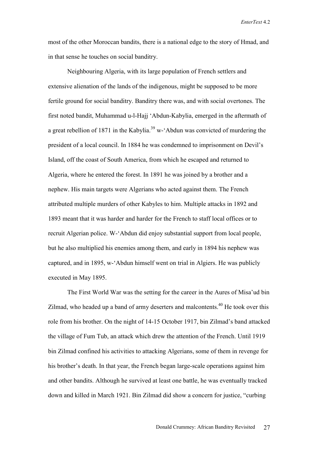most of the other Moroccan bandits, there is a national edge to the story of Hmad, and in that sense he touches on social banditry.

Neighbouring Algeria, with its large population of French settlers and extensive alienation of the lands of the indigenous, might be supposed to be more fertile ground for social banditry. Banditry there was, and with social overtones. The first noted bandit, Muhammad u-l-Hajj 'Abdun-Kabylia, emerged in the aftermath of a great rebellion of 1871 in the Kabylia.<sup>39</sup> w- $\Delta$ bdun was convicted of murdering the president of a local council. In 1884 he was condemned to imprisonment on Devil's Island, off the coast of South America, from which he escaped and returned to Algeria, where he entered the forest. In 1891 he was joined by a brother and a nephew. His main targets were Algerians who acted against them. The French attributed multiple murders of other Kabyles to him. Multiple attacks in 1892 and 1893 meant that it was harder and harder for the French to staff local offices or to recruit Algerian police. W-'Abdun did enjoy substantial support from local people, but he also multiplied his enemies among them, and early in 1894 his nephew was captured, and in 1895, w-'Abdun himself went on trial in Algiers. He was publicly executed in May 1895.

The First World War was the setting for the career in the Aures of Misa'ud bin Zilmad, who headed up a band of army deserters and malcontents.<sup>40</sup> He took over this role from his brother. On the night of 14-15 October 1917, bin Zilmad's band attacked the village of Fum Tub, an attack which drew the attention of the French. Until 1919 bin Zilmad confined his activities to attacking Algerians, some of them in revenge for his brother's death. In that year, the French began large-scale operations against him and other bandits. Although he survived at least one battle, he was eventually tracked down and killed in March 1921. Bin Zilmad did show a concern for justice, "curbing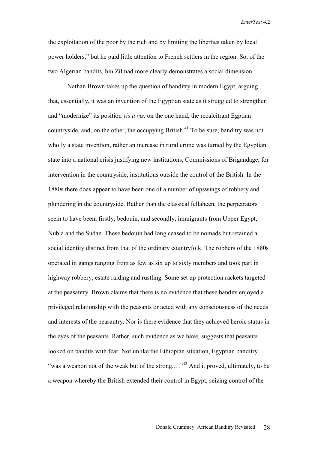the exploitation of the poor by the rich and by limiting the liberties taken by local power holders," but he paid little attention to French settlers in the region. So, of the two Algerian bandits, bin Zilmad more clearly demonstrates a social dimension.

Nathan Brown takes up the question of banditry in modern Egypt, arguing that, essentially, it was an invention of the Egyptian state as it struggled to strengthen and "modernize" its position *vis à vis,* on the one hand, the recalcitrant Egptian countryside, and, on the other, the occupying British.<sup>41</sup> To be sure, banditry was not wholly a state invention, rather an increase in rural crime was turned by the Egyptian state into a national crisis justifying new institutions, Commissions of Brigandage, for intervention in the countryside, institutions outside the control of the British. In the 1880s there does appear to have been one of a number of upswings of robbery and plundering in the countryside. Rather than the classical fellaheen, the perpetrators seem to have been, firstly, bedouin, and secondly, immigrants from Upper Egypt, Nubia and the Sudan. These bedouin had long ceased to be nomads but retained a social identity distinct from that of the ordinary countryfolk. The robbers of the 1880s operated in gangs ranging from as few as six up to sixty members and took part in highway robbery, estate raiding and rustling. Some set up protection rackets targeted at the peasantry. Brown claims that there is no evidence that these bandits enjoyed a privileged relationship with the peasants or acted with any consciousness of the needs and interests of the peasantry. Nor is there evidence that they achieved heroic status in the eyes of the peasants. Rather, such evidence as we have, suggests that peasants looked on bandits with fear. Not unlike the Ethiopian situation, Egyptian banditry "was a weapon not of the weak but of the strong...."<sup>42</sup> And it proved, ultimately, to be a weapon whereby the British extended their control in Egypt, seizing control of the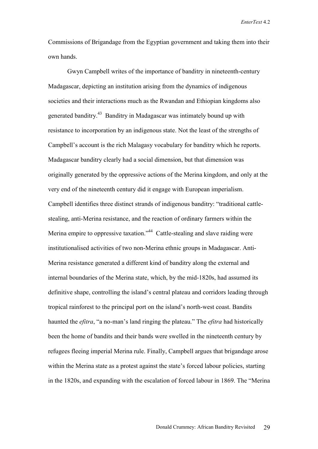Commissions of Brigandage from the Egyptian government and taking them into their own hands.

Gwyn Campbell writes of the importance of banditry in nineteenth-century Madagascar, depicting an institution arising from the dynamics of indigenous societies and their interactions much as the Rwandan and Ethiopian kingdoms also generated banditry.43 Banditry in Madagascar was intimately bound up with resistance to incorporation by an indigenous state. Not the least of the strengths of Campbell's account is the rich Malagasy vocabulary for banditry which he reports. Madagascar banditry clearly had a social dimension, but that dimension was originally generated by the oppressive actions of the Merina kingdom, and only at the very end of the nineteenth century did it engage with European imperialism. Campbell identifies three distinct strands of indigenous banditry: "traditional cattlestealing, anti-Merina resistance, and the reaction of ordinary farmers within the Merina empire to oppressive taxation."<sup>44</sup> Cattle-stealing and slave raiding were institutionalised activities of two non-Merina ethnic groups in Madagascar. Anti-Merina resistance generated a different kind of banditry along the external and internal boundaries of the Merina state, which, by the mid-1820s, had assumed its definitive shape, controlling the island's central plateau and corridors leading through tropical rainforest to the principal port on the island's north-west coast. Bandits haunted the *efitra*, "a no-man's land ringing the plateau." The *efitra* had historically been the home of bandits and their bands were swelled in the nineteenth century by refugees fleeing imperial Merina rule. Finally, Campbell argues that brigandage arose within the Merina state as a protest against the state's forced labour policies, starting in the 1820s, and expanding with the escalation of forced labour in 1869. The "Merina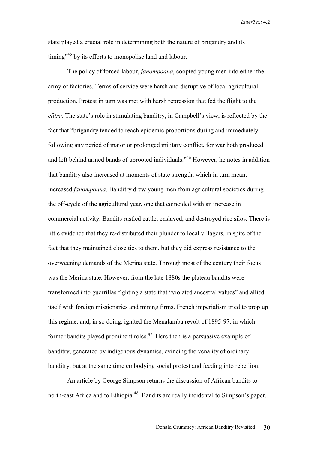state played a crucial role in determining both the nature of brigandry and its timing<sup>-15</sup> by its efforts to monopolise land and labour.

The policy of forced labour, *fanompoana*, coopted young men into either the army or factories. Terms of service were harsh and disruptive of local agricultural production. Protest in turn was met with harsh repression that fed the flight to the *efitra*. The state's role in stimulating banditry, in Campbell's view, is reflected by the fact that "brigandry tended to reach epidemic proportions during and immediately following any period of major or prolonged military conflict, for war both produced and left behind armed bands of uprooted individuals.<sup>346</sup> However, he notes in addition that banditry also increased at moments of state strength, which in turn meant increased *fanompoana*. Banditry drew young men from agricultural societies during the off-cycle of the agricultural year, one that coincided with an increase in commercial activity. Bandits rustled cattle, enslaved, and destroyed rice silos. There is little evidence that they re-distributed their plunder to local villagers, in spite of the fact that they maintained close ties to them, but they did express resistance to the overweening demands of the Merina state. Through most of the century their focus was the Merina state. However, from the late 1880s the plateau bandits were transformed into guerrillas fighting a state that "violated ancestral values" and allied itself with foreign missionaries and mining firms. French imperialism tried to prop up this regime, and, in so doing, ignited the Menalamba revolt of 1895-97, in which former bandits played prominent roles.<sup>47</sup> Here then is a persuasive example of banditry, generated by indigenous dynamics, evincing the venality of ordinary banditry, but at the same time embodying social protest and feeding into rebellion.

An article by George Simpson returns the discussion of African bandits to north-east Africa and to Ethiopia.<sup>48</sup> Bandits are really incidental to Simpson's paper,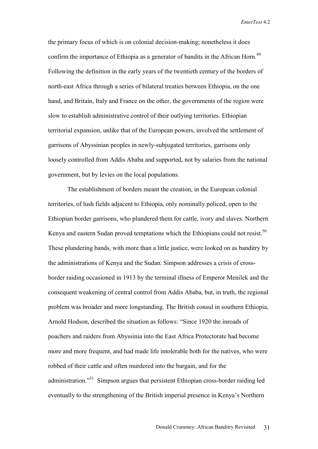the primary focus of which is on colonial decision-making; nonetheless it does confirm the importance of Ethiopia as a generator of bandits in the African Horn.<sup>49</sup> Following the definition in the early years of the twentieth century of the borders of north-east Africa through a series of bilateral treaties between Ethiopia, on the one hand, and Britain, Italy and France on the other, the governments of the region were slow to establish administrative control of their outlying territories. Ethiopian territorial expansion, unlike that of the European powers, involved the settlement of garrisons of Abyssinian peoples in newly-subjugated territories, garrisons only loosely controlled from Addis Ababa and supported, not by salaries from the national government, but by levies on the local populations.

The establishment of borders meant the creation, in the European colonial territories, of lush fields adjacent to Ethiopia, only nominally policed, open to the Ethiopian border garrisons, who plundered them for cattle, ivory and slaves. Northern Kenya and eastern Sudan proved temptations which the Ethiopians could not resist.<sup>50</sup> These plundering bands, with more than a little justice, were looked on as banditry by the administrations of Kenya and the Sudan. Simpson addresses a crisis of crossborder raiding occasioned in 1913 by the terminal illness of Emperor Menilek and the consequent weakening of central control from Addis Ababa, but, in truth, the regional problem was broader and more longstanding. The British consul in southern Ethiopia, Arnold Hodson, described the situation as follows: "Since 1920 the inroads of poachers and raiders from Abyssinia into the East Africa Protectorate had become more and more frequent, and had made life intolerable both for the natives, who were robbed of their cattle and often murdered into the bargain, and for the administration."51 Simpson argues that persistent Ethiopian cross-border raiding led eventually to the strengthening of the British imperial presence in Kenya's Northern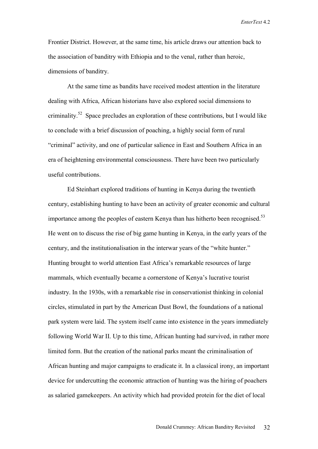Frontier District. However, at the same time, his article draws our attention back to the association of banditry with Ethiopia and to the venal, rather than heroic, dimensions of banditry.

At the same time as bandits have received modest attention in the literature dealing with Africa, African historians have also explored social dimensions to criminality.52 Space precludes an exploration of these contributions, but I would like to conclude with a brief discussion of poaching, a highly social form of rural "criminal" activity, and one of particular salience in East and Southern Africa in an era of heightening environmental consciousness. There have been two particularly useful contributions.

Ed Steinhart explored traditions of hunting in Kenya during the twentieth century, establishing hunting to have been an activity of greater economic and cultural importance among the peoples of eastern Kenya than has hitherto been recognised.<sup>53</sup> He went on to discuss the rise of big game hunting in Kenya, in the early years of the century, and the institutionalisation in the interwar years of the "white hunter." Hunting brought to world attention East Africa's remarkable resources of large mammals, which eventually became a cornerstone of Kenya's lucrative tourist industry. In the 1930s, with a remarkable rise in conservationist thinking in colonial circles, stimulated in part by the American Dust Bowl, the foundations of a national park system were laid. The system itself came into existence in the years immediately following World War II. Up to this time, African hunting had survived, in rather more limited form. But the creation of the national parks meant the criminalisation of African hunting and major campaigns to eradicate it. In a classical irony, an important device for undercutting the economic attraction of hunting was the hiring of poachers as salaried gamekeepers. An activity which had provided protein for the diet of local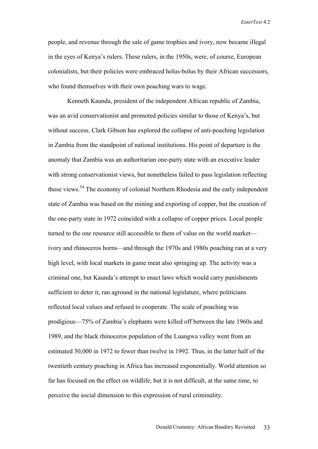people, and revenue through the sale of game trophies and ivory, now became illegal in the eyes of Kenya's rulers. These rulers, in the 1950s, were, of course, European colonialists, but their policies were embraced holus-bolus by their African successors, who found themselves with their own poaching wars to wage.

Kenneth Kaunda, president of the independent African republic of Zambia, was an avid conservationist and promoted policies similar to those of Kenya's, but without success. Clark Gibson has explored the collapse of anti-poaching legislation in Zambia from the standpoint of national institutions. His point of departure is the anomaly that Zambia was an authoritarian one-party state with an executive leader with strong conservationist views, but nonetheless failed to pass legislation reflecting those views.<sup>54</sup> The economy of colonial Northern Rhodesia and the early independent state of Zambia was based on the mining and exporting of copper, but the creation of the one-party state in 1972 coincided with a collapse of copper prices. Local people turned to the one resource still accessible to them of value on the world market ivory and rhinoceros horns—and through the 1970s and 1980s poaching ran at a very high level, with local markets in game meat also springing up. The activity was a criminal one, but Kaunda's attempt to enact laws which would carry punishments sufficient to deter it, ran aground in the national legislature, where politicians reflected local values and refused to cooperate. The scale of poaching was prodigious—75% of Zambia's elephants were killed off between the late 1960s and 1989, and the black rhinoceros population of the Luangwa valley went from an estimated 50,000 in 1972 to fewer than twelve in 1992. Thus, in the latter half of the twentieth century poaching in Africa has increased exponentially. World attention so far has focused on the effect on wildlife, but it is not difficult, at the same time, to perceive the social dimension to this expression of rural criminality.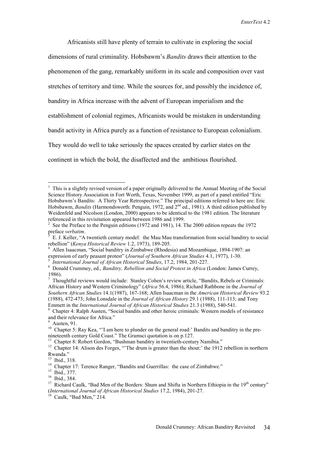Africanists still have plenty of terrain to cultivate in exploring the social dimensions of rural criminality. Hobsbawm's *Bandits* draws their attention to the phenomenon of the gang, remarkably uniform in its scale and composition over vast stretches of territory and time. While the sources for, and possibly the incidence of, banditry in Africa increase with the advent of European imperialism and the establishment of colonial regimes, Africanists would be mistaken in understanding bandit activity in Africa purely as a function of resistance to European colonialism. They would do well to take seriously the spaces created by earlier states on the continent in which the bold, the disaffected and the ambitious flourished.

 $\overline{a}$ 

<sup>&</sup>lt;sup>1</sup> This is a slightly revised version of a paper originally delivered to the Annual Meeting of the Social Science History Association in Fort Worth, Texas, November 1999, as part of a panel entitled "Eric Hobsbawm's Bandits: A Thirty Year Retrospective." The principal editions referred to here are: Eric Hobsbawm, *Bandits* (Harmondsworth: Penguin, 1972, and  $2<sup>nd</sup>$  ed., 1981). A third edition published by Weidenfeld and Nicolson (London, 2000) appears to be identical to the 1981 edition. The literature referenced in this revisitation appeared between 1986 and 1999.

<sup>&</sup>lt;sup>2</sup> See the Preface to the Penguin editions (1972 and 1981), 14. The 2000 edition repeats the 1972 preface *verbatim*.

E. J. Keller, "A twentieth century model: the Mau Mau transformation from social banditry to social rebellion" (*Kenya Historical Review* 1.2, 1973), 189-205. 4

<sup>&</sup>lt;sup>4</sup> Allen Isaacman, "Social banditry in Zimbabwe (Rhodesia) and Mozambique, 1894-1907: an expression of early peasant protest" (*Journal of Southern African Studies* 4.1, 1977), 1-30.

*International Journal of African Historical Studies*, 17.2, 1984, 201-227. 6

Donald Crummey, ed., *Banditry, Rebellion and Social Protest in Africa* (London: James Currey, 1986).

<sup>7</sup> Thoughtful reviews would include: Stanley Cohen's review article, "Bandits, Rebels or Criminals: African History and Western Criminology" (*Africa* 56.4, 1986); Richard Rathbone in the *Journal of Southern African Studies* 14.1(1987), 167-168; Allen Isaacman in the *American Historical Review* 93.2 (1988), 472-473; John Lonsdale in the *Journal of African History* 29.1 (1988), 111-113; and Tony Emmett in the *International Journal of African Historical Studies* 21.3 (1988), 540-541. 8

Chapter 4: Ralph Austen, "Social bandits and other heroic criminals: Western models of resistance and their relevance for Africa."

<sup>9</sup> Austen, 91.

<sup>&</sup>lt;sup>10</sup> Chapter 5: Ray Kea, "'I am here to plunder on the general road:' Bandits and banditry in the prenineteenth century Gold Coast." The Gramsci quotation is on p.127.

<sup>&</sup>lt;sup>11</sup> Chapter 8: Robert Gordon, "Bushman banditry in twentieth-century Namibia."

<sup>&</sup>lt;sup>12</sup> Chapter 14: Alison des Forges, "'The drum is greater than the shout:' the 1912 rebellion in northern Rwanda."

<sup>13</sup> Ibid., 318.

<sup>&</sup>lt;sup>14</sup> Chapter 17: Terence Ranger, "Bandits and Guerrillas: the case of Zimbabwe."

<sup>15</sup> Ibid., 377.

<sup>16</sup> Ibid., 384.

<sup>&</sup>lt;sup>17</sup> Richard Caulk, "Bad Men of the Borders: Shum and Shifta in Northern Ethiopia in the 19<sup>th</sup> century" (*International Journal of African Historical Studies* 17.2, 1984), 201-27. 18 Caulk, "Bad Men," 214.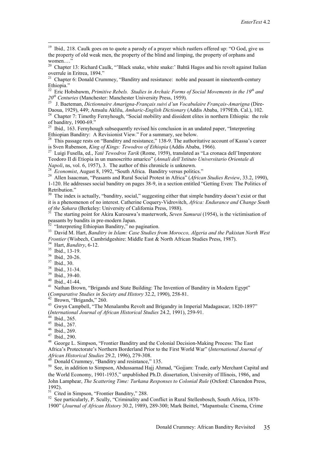<sup>19</sup> Ibid., 218. Caulk goes on to quote a parody of a prayer which rustlers offered up: "O God, give us the property of old weak men, the property of the blind and limping, the property of orphans and women....'

<sup>20</sup> Chapter 13: Richard Caulk, "'Black snake, white snake:' Bahtä Hagos and his revolt against Italian overrule in Eritrea, 1894."

<sup>21</sup> Chapter 6: Donald Crummey, "Banditry and resistance: noble and peasant in nineteenth-century Ethiopia."

<sup>22</sup> Eric Hobsbawm, *Primitive Rebels. Studies in Archaic Forms of Social Movements in the 19<sup>th</sup> and*  $20<sup>th</sup>$  *Centuries (Manchester: Manchester University Press, 1959).* 

*<sup>20</sup>th Centuries* (Manchester: Manchester University Press, 1959). 23 J. Baeteman, *Dictionnaire Amarigna-Français suivi d'un Vocabulaire Français-Amarigna* (Dire-

<sup>24</sup> Chapter 7: Timothy Fernyhough, "Social mobility and dissident elites in northern Ethiopia: the role of banditry, 1900-69."

<sup>25</sup> Ibid., 163. Fernyhough subsequently revised his conclusion in an undated paper, "Interpreting Ethiopian Banditry: A Revisionist View." For a summary, see below.

<sup>26</sup> This passage rests on "Banditry and resistance," 138-9. The authoritative account of Kassa's career is Sven Rubenson, *King of Kings: Tewodros of Ethiopia* (Addis Ababa, 1966). 27 Luigi Fusella, ed., *Yaté Tewodros Tarik* (Rome, 1959), translated as "La cronaca dell'Imperatore

Teodoro II di Etiopia in un manoscritto amarico" (*Annali dell'Istituto Universitario Orientale di* 

28 *Economist*, August 8, 1992, "South Africa. Banditry versus politics."<br><sup>28</sup> *Economist*, August 8, 1992, "South Africa. Banditry versus politics."<br><sup>29</sup> Allen Isaacman, "Peasants and Rural Social Protest in Africa" (*Afr* 1-120. He addresses social banditry on pages 38-9, in a section entitled "Getting Even: The Politics of Retribution."

<sup>30</sup> The index is actually, "banditry, social," suggesting either that simple banditry doesn't exist or that it is a phenomenon of no interest. Catherine Coquery-Vidrovitch, *Africa: Endurance and Change South* 

The starting point for Akira Kurosawa's masterwork, *Seven Samurai* (1954), is the victimisation of peasants by bandits in pre-modern Japan.

 $32$  "Interpreting Ethiopian Banditry," no pagination.

33 David M. Hart, *Banditry in Islam: Case Studies from Morocco, Algeria and the Pakistan North West Frontier* (Wisbech, Cambridgeshire: Middle East & North African Studies Press, 1987).<br><sup>34</sup> Hart, *Banditry*, 6-12.<br><sup>35</sup> Ibid., 13-19.

36 Ibid*.,* 20-26. 37 Ibid., 30.

38 Ibid., 31-34.

39 Ibid., 39-40.

40 Ibid., 41-44.

<sup>41</sup> Nathan Brown, "Brigands and State Building: The Invention of Banditry in Modern Egypt" (*Comparative Studies in Society and History* 32.2, 1990), 258-81. 42 Brown, "Brigands," 260.

<sup>43</sup> Gwyn Campbell, "The Menalamba Revolt and Brigandry in Imperial Madagascar, 1820-1897" (*International Journal of African Historical Studies* 24.2, 1991), 259-91. 44 Ibid., 265.

 $45$  Ibid., 267.

46 Ibid., 269.

47 Ibid., 290.

48 George L. Simpson, "Frontier Banditry and the Colonial Decision-Making Process: The East Africa's Protectorate's Northern Borderland Prior to the First World War" (*International Journal of African Historical Studies* 29.2, 1996), 279-308. 49 Donald Crummey, "Banditry and resistance," 135.

<sup>50</sup> See, in addition to Simpson, Abdussamad Hajj Ahmad, "Gojjam: Trade, early Merchant Capital and the World Economy, 1901-1935," unpublished Ph.D. dissertation, University of Illinois, 1986, and John Lamphear, *The Scattering Time: Turkana Responses to Colonial Rule* (Oxford: Clarendon Press, 1992).

<sup>51</sup> Cited in Simpson, "Frontier Banditry," 288.

<sup>52</sup> See particularly, P. Scully, "Criminality and Conflict in Rural Stellenbosch, South Africa, 1870-1900" (*Journal of African History* 30.2, 1989), 289-300; Mark Beittel, "Mapantsula: Cinema, Crime